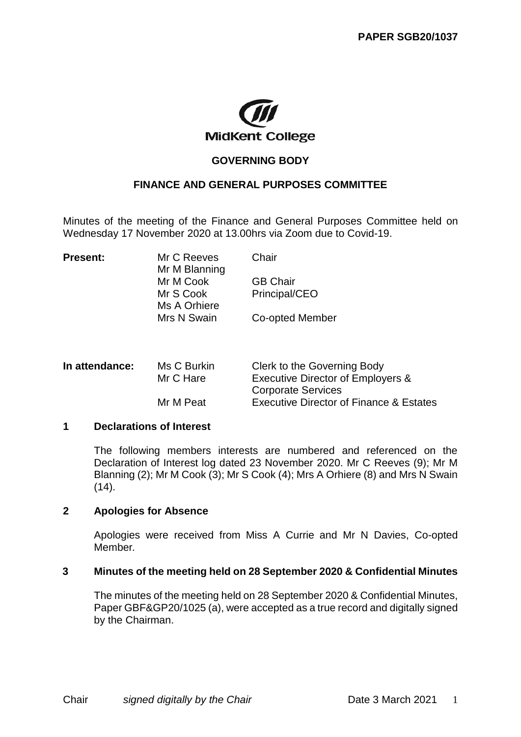

# **GOVERNING BODY**

## **FINANCE AND GENERAL PURPOSES COMMITTEE**

Minutes of the meeting of the Finance and General Purposes Committee held on Wednesday 17 November 2020 at 13.00hrs via Zoom due to Covid-19.

| <b>Present:</b> | Mr C Reeves   | Chair           |  |
|-----------------|---------------|-----------------|--|
|                 | Mr M Blanning |                 |  |
|                 | Mr M Cook     | <b>GB Chair</b> |  |
|                 | Mr S Cook     | Principal/CEO   |  |
|                 | Ms A Orhiere  |                 |  |
|                 | Mrs N Swain   | Co-opted Member |  |
|                 |               |                 |  |

| Executive Director of Employers &                  |
|----------------------------------------------------|
|                                                    |
| <b>Executive Director of Finance &amp; Estates</b> |
|                                                    |

## **1 Declarations of Interest**

The following members interests are numbered and referenced on the Declaration of Interest log dated 23 November 2020. Mr C Reeves (9); Mr M Blanning (2); Mr M Cook (3); Mr S Cook (4); Mrs A Orhiere (8) and Mrs N Swain  $(14)$ .

## **2 Apologies for Absence**

Apologies were received from Miss A Currie and Mr N Davies, Co-opted Member*.*

### **3 Minutes of the meeting held on 28 September 2020 & Confidential Minutes**

The minutes of the meeting held on 28 September 2020 & Confidential Minutes, Paper GBF&GP20/1025 (a), were accepted as a true record and digitally signed by the Chairman.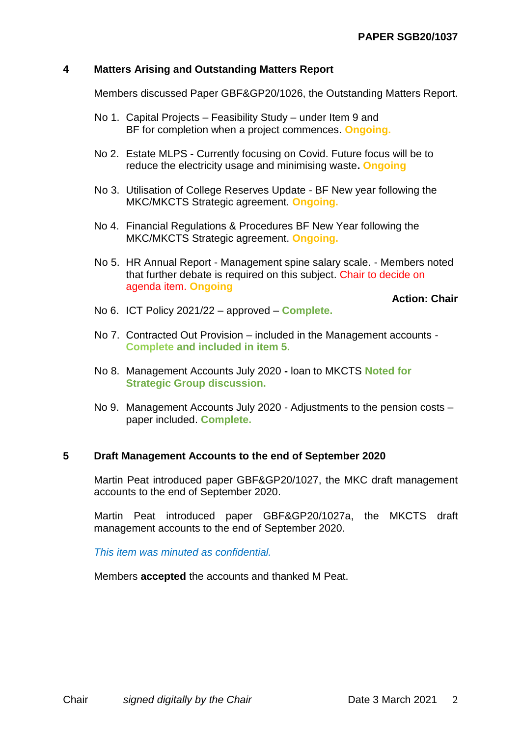# **4 Matters Arising and Outstanding Matters Report**

Members discussed Paper GBF&GP20/1026, the Outstanding Matters Report.

- No 1. Capital Projects Feasibility Study under Item 9 and BF for completion when a project commences. **Ongoing.**
- No 2. Estate MLPS Currently focusing on Covid. Future focus will be to reduce the electricity usage and minimising waste**. Ongoing**
- No 3. Utilisation of College Reserves Update BF New year following the MKC/MKCTS Strategic agreement. **Ongoing.**
- No 4. Financial Regulations & Procedures BF New Year following the MKC/MKCTS Strategic agreement. **Ongoing.**
- No 5. HR Annual Report Management spine salary scale. Members noted that further debate is required on this subject. Chair to decide on agenda item. **Ongoing**

**Action: Chair**

- No 6. ICT Policy 2021/22 approved **Complete.**
- No 7. Contracted Out Provision included in the Management accounts **Complete and included in item 5.**
- No 8. Management Accounts July 2020 **-** loan to MKCTS **Noted for Strategic Group discussion.**
- No 9. Management Accounts July 2020 Adjustments to the pension costs paper included. **Complete.**

# **5 Draft Management Accounts to the end of September 2020**

Martin Peat introduced paper GBF&GP20/1027, the MKC draft management accounts to the end of September 2020.

Martin Peat introduced paper GBF&GP20/1027a, the MKCTS draft management accounts to the end of September 2020.

*This item was minuted as confidential.*

Members **accepted** the accounts and thanked M Peat.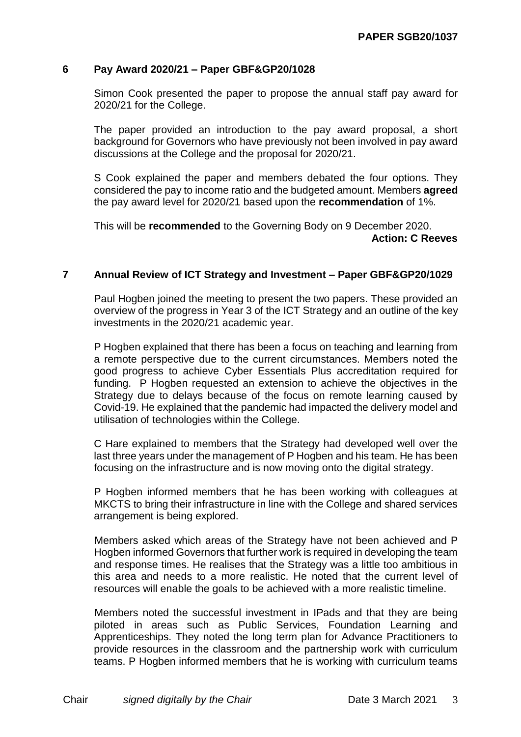## **6 Pay Award 2020/21 – Paper GBF&GP20/1028**

Simon Cook presented the paper to propose the annual staff pay award for 2020/21 for the College.

The paper provided an introduction to the pay award proposal, a short background for Governors who have previously not been involved in pay award discussions at the College and the proposal for 2020/21.

S Cook explained the paper and members debated the four options. They considered the pay to income ratio and the budgeted amount. Members **agreed** the pay award level for 2020/21 based upon the **recommendation** of 1%.

This will be **recommended** to the Governing Body on 9 December 2020. **Action: C Reeves**

## **7 Annual Review of ICT Strategy and Investment – Paper GBF&GP20/1029**

Paul Hogben joined the meeting to present the two papers. These provided an overview of the progress in Year 3 of the ICT Strategy and an outline of the key investments in the 2020/21 academic year.

P Hogben explained that there has been a focus on teaching and learning from a remote perspective due to the current circumstances. Members noted the good progress to achieve Cyber Essentials Plus accreditation required for funding. P Hogben requested an extension to achieve the objectives in the Strategy due to delays because of the focus on remote learning caused by Covid-19. He explained that the pandemic had impacted the delivery model and utilisation of technologies within the College.

C Hare explained to members that the Strategy had developed well over the last three years under the management of P Hogben and his team. He has been focusing on the infrastructure and is now moving onto the digital strategy.

P Hogben informed members that he has been working with colleagues at MKCTS to bring their infrastructure in line with the College and shared services arrangement is being explored.

Members asked which areas of the Strategy have not been achieved and P Hogben informed Governors that further work is required in developing the team and response times. He realises that the Strategy was a little too ambitious in this area and needs to a more realistic. He noted that the current level of resources will enable the goals to be achieved with a more realistic timeline.

Members noted the successful investment in IPads and that they are being piloted in areas such as Public Services, Foundation Learning and Apprenticeships. They noted the long term plan for Advance Practitioners to provide resources in the classroom and the partnership work with curriculum teams. P Hogben informed members that he is working with curriculum teams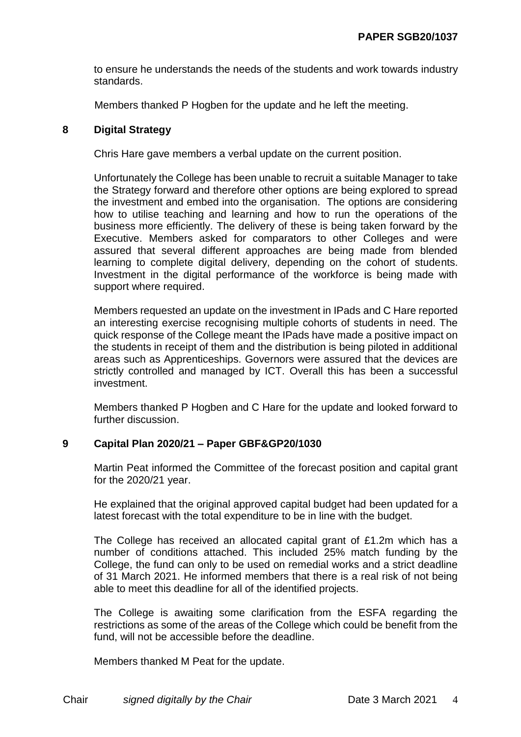to ensure he understands the needs of the students and work towards industry standards.

Members thanked P Hogben for the update and he left the meeting.

# **8 Digital Strategy**

Chris Hare gave members a verbal update on the current position.

Unfortunately the College has been unable to recruit a suitable Manager to take the Strategy forward and therefore other options are being explored to spread the investment and embed into the organisation. The options are considering how to utilise teaching and learning and how to run the operations of the business more efficiently. The delivery of these is being taken forward by the Executive. Members asked for comparators to other Colleges and were assured that several different approaches are being made from blended learning to complete digital delivery, depending on the cohort of students. Investment in the digital performance of the workforce is being made with support where required.

Members requested an update on the investment in IPads and C Hare reported an interesting exercise recognising multiple cohorts of students in need. The quick response of the College meant the IPads have made a positive impact on the students in receipt of them and the distribution is being piloted in additional areas such as Apprenticeships. Governors were assured that the devices are strictly controlled and managed by ICT. Overall this has been a successful investment.

Members thanked P Hogben and C Hare for the update and looked forward to further discussion.

# **9 Capital Plan 2020/21 – Paper GBF&GP20/1030**

Martin Peat informed the Committee of the forecast position and capital grant for the 2020/21 year.

He explained that the original approved capital budget had been updated for a latest forecast with the total expenditure to be in line with the budget.

The College has received an allocated capital grant of £1.2m which has a number of conditions attached. This included 25% match funding by the College, the fund can only to be used on remedial works and a strict deadline of 31 March 2021. He informed members that there is a real risk of not being able to meet this deadline for all of the identified projects.

The College is awaiting some clarification from the ESFA regarding the restrictions as some of the areas of the College which could be benefit from the fund, will not be accessible before the deadline.

Members thanked M Peat for the update.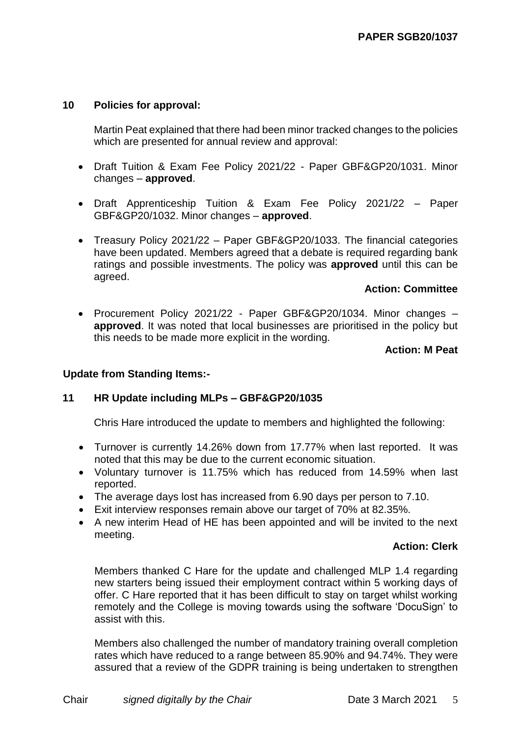# **10 Policies for approval:**

Martin Peat explained that there had been minor tracked changes to the policies which are presented for annual review and approval:

- Draft Tuition & Exam Fee Policy 2021/22 Paper GBF&GP20/1031. Minor changes – **approved**.
- Draft Apprenticeship Tuition & Exam Fee Policy 2021/22 Paper GBF&GP20/1032. Minor changes – **approved**.
- Treasury Policy 2021/22 Paper GBF&GP20/1033. The financial categories have been updated. Members agreed that a debate is required regarding bank ratings and possible investments. The policy was **approved** until this can be agreed.

# **Action: Committee**

 Procurement Policy 2021/22 - Paper GBF&GP20/1034. Minor changes – **approved**. It was noted that local businesses are prioritised in the policy but this needs to be made more explicit in the wording.

# **Action: M Peat**

# **Update from Standing Items:-**

# **11 HR Update including MLPs – GBF&GP20/1035**

Chris Hare introduced the update to members and highlighted the following:

- Turnover is currently 14.26% down from 17.77% when last reported. It was noted that this may be due to the current economic situation.
- Voluntary turnover is 11.75% which has reduced from 14.59% when last reported.
- The average days lost has increased from 6.90 days per person to 7.10.
- Exit interview responses remain above our target of 70% at 82.35%.
- A new interim Head of HE has been appointed and will be invited to the next meeting.

# **Action: Clerk**

Members thanked C Hare for the update and challenged MLP 1.4 regarding new starters being issued their employment contract within 5 working days of offer. C Hare reported that it has been difficult to stay on target whilst working remotely and the College is moving towards using the software 'DocuSign' to assist with this.

Members also challenged the number of mandatory training overall completion rates which have reduced to a range between 85.90% and 94.74%. They were assured that a review of the GDPR training is being undertaken to strengthen